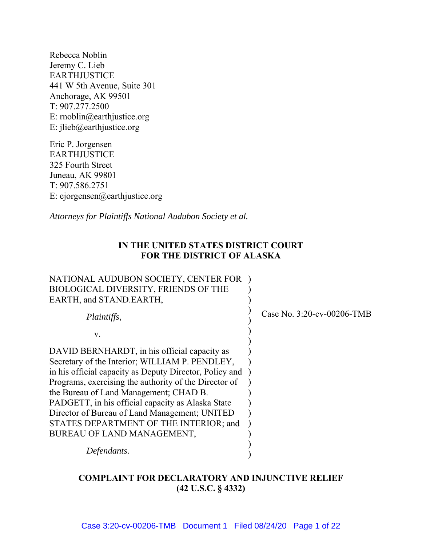Rebecca Noblin Jeremy C. Lieb EARTHJUSTICE 441 W 5th Avenue, Suite 301 Anchorage, AK 99501 T: 907.277.2500 E: rnoblin@earthjustice.org E: jlieb@earthjustice.org

Eric P. Jorgensen EARTHJUSTICE 325 Fourth Street Juneau, AK 99801 T: 907.586.2751 E: ejorgensen@earthjustice.org

*Attorneys for Plaintiffs National Audubon Society et al.* 

## **IN THE UNITED STATES DISTRICT COURT FOR THE DISTRICT OF ALASKA**

| NATIONAL AUDUBON SOCIETY, CENTER FOR<br><b>BIOLOGICAL DIVERSITY, FRIENDS OF THE</b><br>EARTH, and STAND.EARTH, |                            |
|----------------------------------------------------------------------------------------------------------------|----------------------------|
| Plaintiffs,                                                                                                    | Case No. 3:20-cv-00206-TMB |
| V.                                                                                                             |                            |
| DAVID BERNHARDT, in his official capacity as                                                                   |                            |
| Secretary of the Interior; WILLIAM P. PENDLEY,                                                                 |                            |
| in his official capacity as Deputy Director, Policy and                                                        |                            |
| Programs, exercising the authority of the Director of                                                          |                            |
| the Bureau of Land Management; CHAD B.                                                                         |                            |
| PADGETT, in his official capacity as Alaska State                                                              |                            |
| Director of Bureau of Land Management; UNITED                                                                  |                            |
| STATES DEPARTMENT OF THE INTERIOR; and                                                                         |                            |
| BUREAU OF LAND MANAGEMENT,                                                                                     |                            |
| Defendants.                                                                                                    |                            |

# **COMPLAINT FOR DECLARATORY AND INJUNCTIVE RELIEF (42 U.S.C. § 4332)**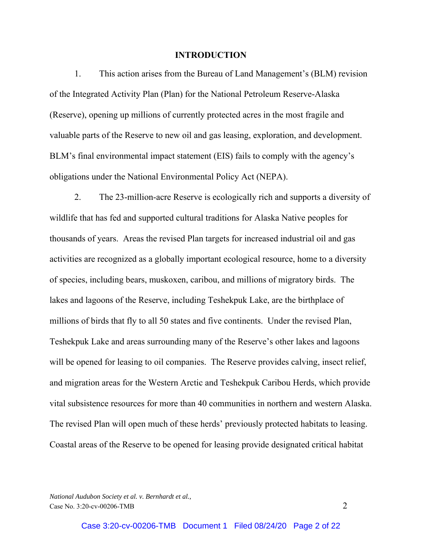#### **INTRODUCTION**

1. This action arises from the Bureau of Land Management's (BLM) revision of the Integrated Activity Plan (Plan) for the National Petroleum Reserve-Alaska (Reserve), opening up millions of currently protected acres in the most fragile and valuable parts of the Reserve to new oil and gas leasing, exploration, and development. BLM's final environmental impact statement (EIS) fails to comply with the agency's obligations under the National Environmental Policy Act (NEPA).

2. The 23-million-acre Reserve is ecologically rich and supports a diversity of wildlife that has fed and supported cultural traditions for Alaska Native peoples for thousands of years. Areas the revised Plan targets for increased industrial oil and gas activities are recognized as a globally important ecological resource, home to a diversity of species, including bears, muskoxen, caribou, and millions of migratory birds. The lakes and lagoons of the Reserve, including Teshekpuk Lake, are the birthplace of millions of birds that fly to all 50 states and five continents. Under the revised Plan, Teshekpuk Lake and areas surrounding many of the Reserve's other lakes and lagoons will be opened for leasing to oil companies. The Reserve provides calving, insect relief, and migration areas for the Western Arctic and Teshekpuk Caribou Herds, which provide vital subsistence resources for more than 40 communities in northern and western Alaska. The revised Plan will open much of these herds' previously protected habitats to leasing. Coastal areas of the Reserve to be opened for leasing provide designated critical habitat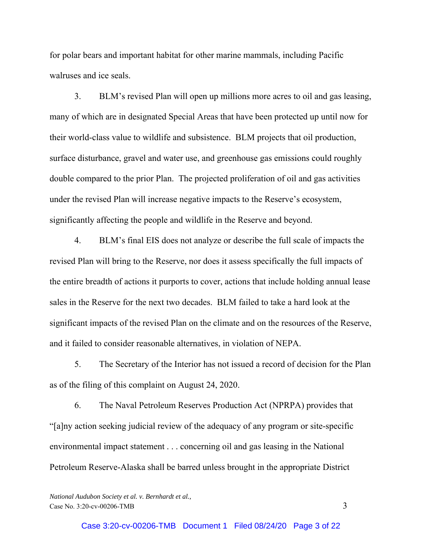for polar bears and important habitat for other marine mammals, including Pacific walruses and ice seals.

3. BLM's revised Plan will open up millions more acres to oil and gas leasing, many of which are in designated Special Areas that have been protected up until now for their world-class value to wildlife and subsistence. BLM projects that oil production, surface disturbance, gravel and water use, and greenhouse gas emissions could roughly double compared to the prior Plan. The projected proliferation of oil and gas activities under the revised Plan will increase negative impacts to the Reserve's ecosystem, significantly affecting the people and wildlife in the Reserve and beyond.

4. BLM's final EIS does not analyze or describe the full scale of impacts the revised Plan will bring to the Reserve, nor does it assess specifically the full impacts of the entire breadth of actions it purports to cover, actions that include holding annual lease sales in the Reserve for the next two decades. BLM failed to take a hard look at the significant impacts of the revised Plan on the climate and on the resources of the Reserve, and it failed to consider reasonable alternatives, in violation of NEPA.

5. The Secretary of the Interior has not issued a record of decision for the Plan as of the filing of this complaint on August 24, 2020.

6. The Naval Petroleum Reserves Production Act (NPRPA) provides that "[a]ny action seeking judicial review of the adequacy of any program or site-specific environmental impact statement . . . concerning oil and gas leasing in the National Petroleum Reserve-Alaska shall be barred unless brought in the appropriate District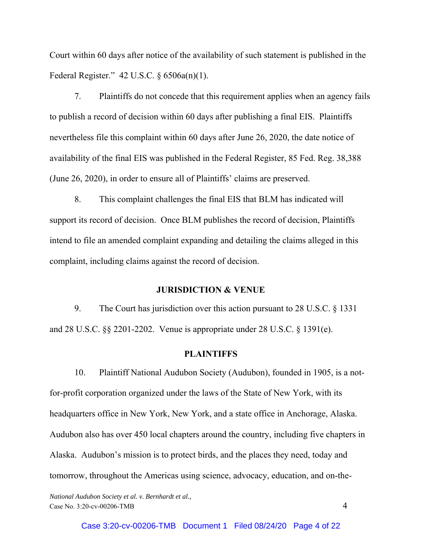Court within 60 days after notice of the availability of such statement is published in the Federal Register." 42 U.S.C. § 6506a(n)(1).

7. Plaintiffs do not concede that this requirement applies when an agency fails to publish a record of decision within 60 days after publishing a final EIS. Plaintiffs nevertheless file this complaint within 60 days after June 26, 2020, the date notice of availability of the final EIS was published in the Federal Register, 85 Fed. Reg. 38,388 (June 26, 2020), in order to ensure all of Plaintiffs' claims are preserved.

8. This complaint challenges the final EIS that BLM has indicated will support its record of decision. Once BLM publishes the record of decision, Plaintiffs intend to file an amended complaint expanding and detailing the claims alleged in this complaint, including claims against the record of decision.

#### **JURISDICTION & VENUE**

9. The Court has jurisdiction over this action pursuant to 28 U.S.C. § 1331 and 28 U.S.C. §§ 2201-2202. Venue is appropriate under 28 U.S.C. § 1391(e).

## **PLAINTIFFS**

10. Plaintiff National Audubon Society (Audubon), founded in 1905, is a notfor-profit corporation organized under the laws of the State of New York, with its headquarters office in New York, New York, and a state office in Anchorage, Alaska. Audubon also has over 450 local chapters around the country, including five chapters in Alaska. Audubon's mission is to protect birds, and the places they need, today and tomorrow, throughout the Americas using science, advocacy, education, and on-the-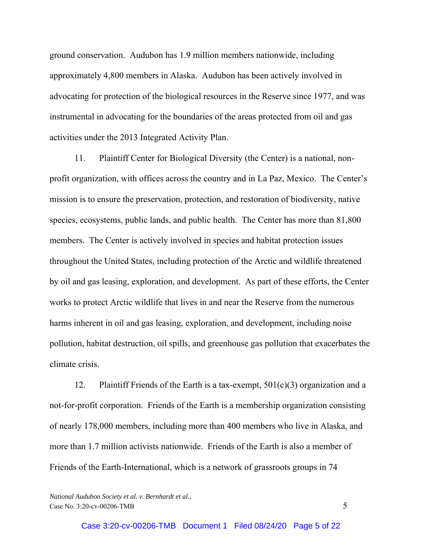ground conservation. Audubon has 1.9 million members nationwide, including approximately 4,800 members in Alaska. Audubon has been actively involved in advocating for protection of the biological resources in the Reserve since 1977, and was instrumental in advocating for the boundaries of the areas protected from oil and gas activities under the 2013 Integrated Activity Plan.

11. Plaintiff Center for Biological Diversity (the Center) is a national, nonprofit organization, with offices across the country and in La Paz, Mexico. The Center's mission is to ensure the preservation, protection, and restoration of biodiversity, native species, ecosystems, public lands, and public health. The Center has more than 81,800 members. The Center is actively involved in species and habitat protection issues throughout the United States, including protection of the Arctic and wildlife threatened by oil and gas leasing, exploration, and development. As part of these efforts, the Center works to protect Arctic wildlife that lives in and near the Reserve from the numerous harms inherent in oil and gas leasing, exploration, and development, including noise pollution, habitat destruction, oil spills, and greenhouse gas pollution that exacerbates the climate crisis.

12. Plaintiff Friends of the Earth is a tax-exempt,  $501(c)(3)$  organization and a not-for-profit corporation. Friends of the Earth is a membership organization consisting of nearly 178,000 members, including more than 400 members who live in Alaska, and more than 1.7 million activists nationwide. Friends of the Earth is also a member of Friends of the Earth-International, which is a network of grassroots groups in 74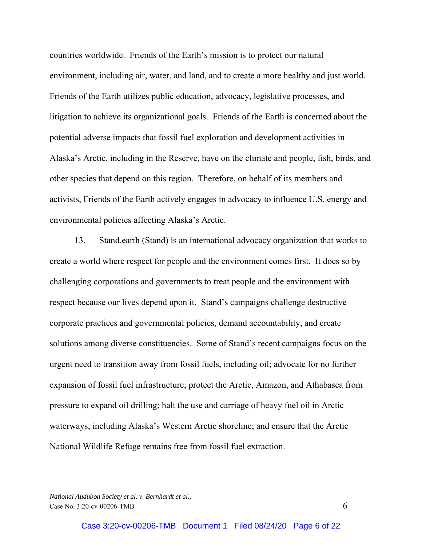countries worldwide. Friends of the Earth's mission is to protect our natural environment, including air, water, and land, and to create a more healthy and just world. Friends of the Earth utilizes public education, advocacy, legislative processes, and litigation to achieve its organizational goals. Friends of the Earth is concerned about the potential adverse impacts that fossil fuel exploration and development activities in Alaska's Arctic, including in the Reserve, have on the climate and people, fish, birds, and other species that depend on this region. Therefore, on behalf of its members and activists, Friends of the Earth actively engages in advocacy to influence U.S. energy and environmental policies affecting Alaska's Arctic.

13. Stand.earth (Stand) is an international advocacy organization that works to create a world where respect for people and the environment comes first. It does so by challenging corporations and governments to treat people and the environment with respect because our lives depend upon it. Stand's campaigns challenge destructive corporate practices and governmental policies, demand accountability, and create solutions among diverse constituencies. Some of Stand's recent campaigns focus on the urgent need to transition away from fossil fuels, including oil; advocate for no further expansion of fossil fuel infrastructure; protect the Arctic, Amazon, and Athabasca from pressure to expand oil drilling; halt the use and carriage of heavy fuel oil in Arctic waterways, including Alaska's Western Arctic shoreline; and ensure that the Arctic National Wildlife Refuge remains free from fossil fuel extraction.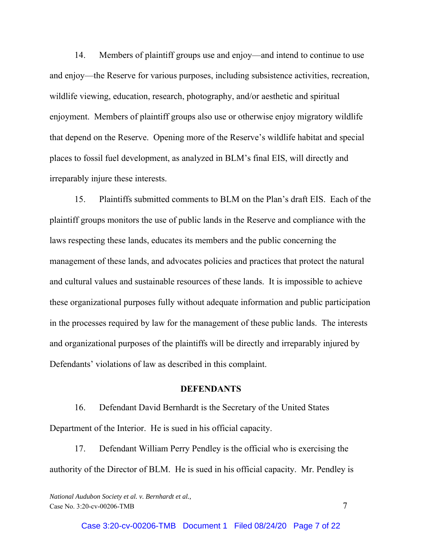14. Members of plaintiff groups use and enjoy—and intend to continue to use and enjoy—the Reserve for various purposes, including subsistence activities, recreation, wildlife viewing, education, research, photography, and/or aesthetic and spiritual enjoyment. Members of plaintiff groups also use or otherwise enjoy migratory wildlife that depend on the Reserve. Opening more of the Reserve's wildlife habitat and special places to fossil fuel development, as analyzed in BLM's final EIS, will directly and irreparably injure these interests.

15. Plaintiffs submitted comments to BLM on the Plan's draft EIS. Each of the plaintiff groups monitors the use of public lands in the Reserve and compliance with the laws respecting these lands, educates its members and the public concerning the management of these lands, and advocates policies and practices that protect the natural and cultural values and sustainable resources of these lands. It is impossible to achieve these organizational purposes fully without adequate information and public participation in the processes required by law for the management of these public lands. The interests and organizational purposes of the plaintiffs will be directly and irreparably injured by Defendants' violations of law as described in this complaint.

#### **DEFENDANTS**

16. Defendant David Bernhardt is the Secretary of the United States Department of the Interior. He is sued in his official capacity.

17. Defendant William Perry Pendley is the official who is exercising the authority of the Director of BLM. He is sued in his official capacity. Mr. Pendley is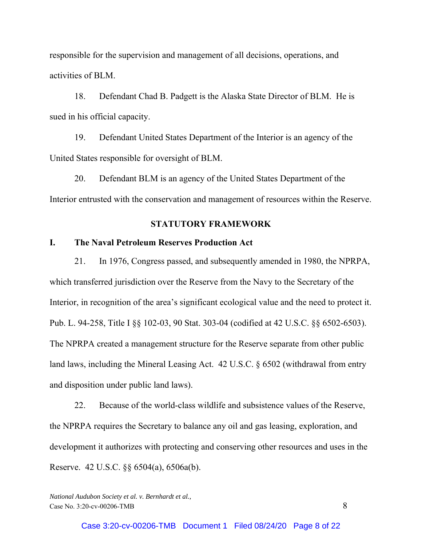responsible for the supervision and management of all decisions, operations, and activities of BLM.

18. Defendant Chad B. Padgett is the Alaska State Director of BLM. He is sued in his official capacity.

19. Defendant United States Department of the Interior is an agency of the United States responsible for oversight of BLM.

20. Defendant BLM is an agency of the United States Department of the Interior entrusted with the conservation and management of resources within the Reserve.

#### **STATUTORY FRAMEWORK**

## **I. The Naval Petroleum Reserves Production Act**

21. In 1976, Congress passed, and subsequently amended in 1980, the NPRPA, which transferred jurisdiction over the Reserve from the Navy to the Secretary of the Interior, in recognition of the area's significant ecological value and the need to protect it. Pub. L. 94-258, Title I §§ 102-03, 90 Stat. 303-04 (codified at 42 U.S.C. §§ 6502-6503). The NPRPA created a management structure for the Reserve separate from other public land laws, including the Mineral Leasing Act. 42 U.S.C. § 6502 (withdrawal from entry and disposition under public land laws).

22. Because of the world-class wildlife and subsistence values of the Reserve, the NPRPA requires the Secretary to balance any oil and gas leasing, exploration, and development it authorizes with protecting and conserving other resources and uses in the Reserve. 42 U.S.C. §§ 6504(a), 6506a(b).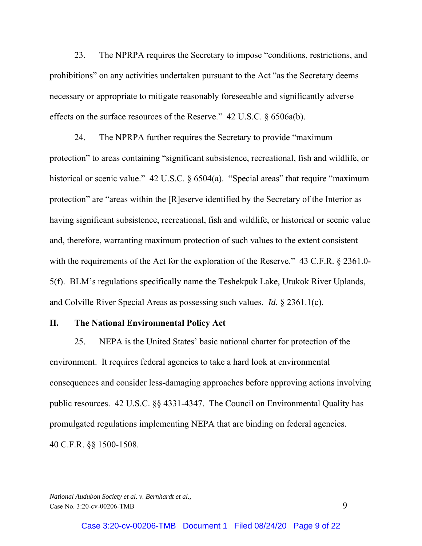23. The NPRPA requires the Secretary to impose "conditions, restrictions, and prohibitions" on any activities undertaken pursuant to the Act "as the Secretary deems necessary or appropriate to mitigate reasonably foreseeable and significantly adverse effects on the surface resources of the Reserve." 42 U.S.C. § 6506a(b).

24. The NPRPA further requires the Secretary to provide "maximum protection" to areas containing "significant subsistence, recreational, fish and wildlife, or historical or scenic value." 42 U.S.C. § 6504(a). "Special areas" that require "maximum protection" are "areas within the [R]eserve identified by the Secretary of the Interior as having significant subsistence, recreational, fish and wildlife, or historical or scenic value and, therefore, warranting maximum protection of such values to the extent consistent with the requirements of the Act for the exploration of the Reserve." 43 C.F.R. § 2361.0-5(f). BLM's regulations specifically name the Teshekpuk Lake, Utukok River Uplands, and Colville River Special Areas as possessing such values. *Id.* § 2361.1(c).

#### **II. The National Environmental Policy Act**

25. NEPA is the United States' basic national charter for protection of the environment. It requires federal agencies to take a hard look at environmental consequences and consider less-damaging approaches before approving actions involving public resources. 42 U.S.C. §§ 4331-4347. The Council on Environmental Quality has promulgated regulations implementing NEPA that are binding on federal agencies. 40 C.F.R. §§ 1500-1508.

*National Audubon Society et al. v. Bernhardt et al.,*  Case No. 3:20-cv-00206-TMB 9

Case 3:20-cv-00206-TMB Document 1 Filed 08/24/20 Page 9 of 22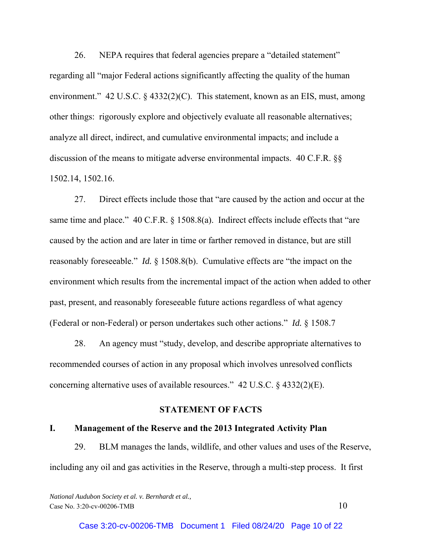26. NEPA requires that federal agencies prepare a "detailed statement" regarding all "major Federal actions significantly affecting the quality of the human environment." 42 U.S.C. § 4332(2)(C). This statement, known as an EIS, must, among other things: rigorously explore and objectively evaluate all reasonable alternatives; analyze all direct, indirect, and cumulative environmental impacts; and include a discussion of the means to mitigate adverse environmental impacts. 40 C.F.R. §§ 1502.14, 1502.16.

27. Direct effects include those that "are caused by the action and occur at the same time and place." 40 C.F.R. § 1508.8(a). Indirect effects include effects that "are caused by the action and are later in time or farther removed in distance, but are still reasonably foreseeable." *Id.* § 1508.8(b). Cumulative effects are "the impact on the environment which results from the incremental impact of the action when added to other past, present, and reasonably foreseeable future actions regardless of what agency (Federal or non-Federal) or person undertakes such other actions." *Id.* § 1508.7

28. An agency must "study, develop, and describe appropriate alternatives to recommended courses of action in any proposal which involves unresolved conflicts concerning alternative uses of available resources." 42 U.S.C. § 4332(2)(E).

#### **STATEMENT OF FACTS**

## **I. Management of the Reserve and the 2013 Integrated Activity Plan**

29. BLM manages the lands, wildlife, and other values and uses of the Reserve, including any oil and gas activities in the Reserve, through a multi-step process. It first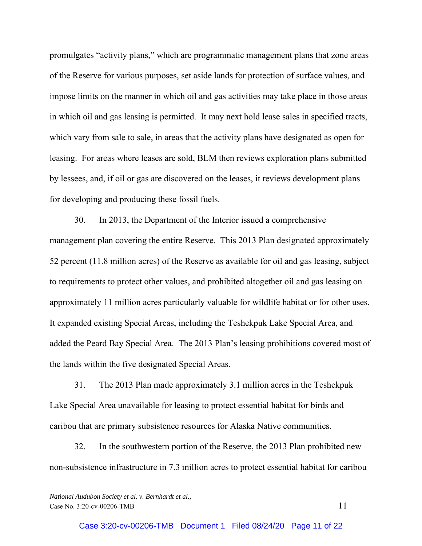promulgates "activity plans," which are programmatic management plans that zone areas of the Reserve for various purposes, set aside lands for protection of surface values, and impose limits on the manner in which oil and gas activities may take place in those areas in which oil and gas leasing is permitted. It may next hold lease sales in specified tracts, which vary from sale to sale, in areas that the activity plans have designated as open for leasing. For areas where leases are sold, BLM then reviews exploration plans submitted by lessees, and, if oil or gas are discovered on the leases, it reviews development plans for developing and producing these fossil fuels.

30. In 2013, the Department of the Interior issued a comprehensive management plan covering the entire Reserve. This 2013 Plan designated approximately 52 percent (11.8 million acres) of the Reserve as available for oil and gas leasing, subject to requirements to protect other values, and prohibited altogether oil and gas leasing on approximately 11 million acres particularly valuable for wildlife habitat or for other uses. It expanded existing Special Areas, including the Teshekpuk Lake Special Area, and added the Peard Bay Special Area. The 2013 Plan's leasing prohibitions covered most of the lands within the five designated Special Areas.

31. The 2013 Plan made approximately 3.1 million acres in the Teshekpuk Lake Special Area unavailable for leasing to protect essential habitat for birds and caribou that are primary subsistence resources for Alaska Native communities.

32. In the southwestern portion of the Reserve, the 2013 Plan prohibited new non-subsistence infrastructure in 7.3 million acres to protect essential habitat for caribou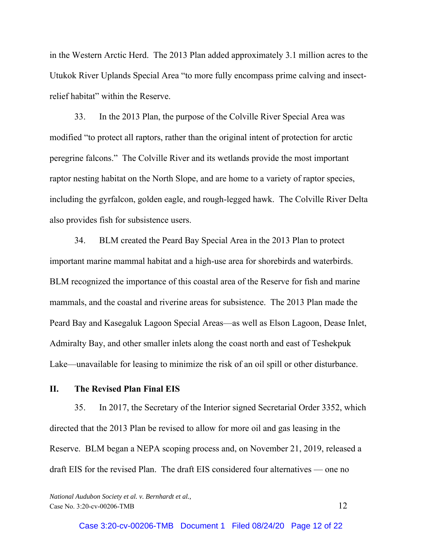in the Western Arctic Herd. The 2013 Plan added approximately 3.1 million acres to the Utukok River Uplands Special Area "to more fully encompass prime calving and insectrelief habitat" within the Reserve.

33. In the 2013 Plan, the purpose of the Colville River Special Area was modified "to protect all raptors, rather than the original intent of protection for arctic peregrine falcons." The Colville River and its wetlands provide the most important raptor nesting habitat on the North Slope, and are home to a variety of raptor species, including the gyrfalcon, golden eagle, and rough-legged hawk. The Colville River Delta also provides fish for subsistence users.

34. BLM created the Peard Bay Special Area in the 2013 Plan to protect important marine mammal habitat and a high-use area for shorebirds and waterbirds. BLM recognized the importance of this coastal area of the Reserve for fish and marine mammals, and the coastal and riverine areas for subsistence. The 2013 Plan made the Peard Bay and Kasegaluk Lagoon Special Areas—as well as Elson Lagoon, Dease Inlet, Admiralty Bay, and other smaller inlets along the coast north and east of Teshekpuk Lake—unavailable for leasing to minimize the risk of an oil spill or other disturbance.

## **II. The Revised Plan Final EIS**

35. In 2017, the Secretary of the Interior signed Secretarial Order 3352, which directed that the 2013 Plan be revised to allow for more oil and gas leasing in the Reserve. BLM began a NEPA scoping process and, on November 21, 2019, released a draft EIS for the revised Plan. The draft EIS considered four alternatives — one no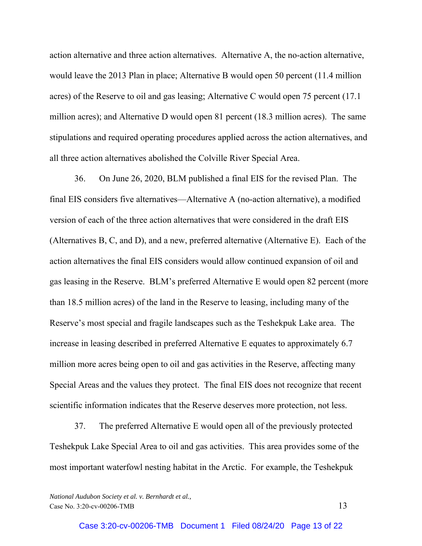action alternative and three action alternatives. Alternative A, the no-action alternative, would leave the 2013 Plan in place; Alternative B would open 50 percent (11.4 million acres) of the Reserve to oil and gas leasing; Alternative C would open 75 percent (17.1 million acres); and Alternative D would open 81 percent (18.3 million acres). The same stipulations and required operating procedures applied across the action alternatives, and all three action alternatives abolished the Colville River Special Area.

36. On June 26, 2020, BLM published a final EIS for the revised Plan. The final EIS considers five alternatives—Alternative A (no-action alternative), a modified version of each of the three action alternatives that were considered in the draft EIS (Alternatives B, C, and D), and a new, preferred alternative (Alternative E). Each of the action alternatives the final EIS considers would allow continued expansion of oil and gas leasing in the Reserve. BLM's preferred Alternative E would open 82 percent (more than 18.5 million acres) of the land in the Reserve to leasing, including many of the Reserve's most special and fragile landscapes such as the Teshekpuk Lake area. The increase in leasing described in preferred Alternative E equates to approximately 6.7 million more acres being open to oil and gas activities in the Reserve, affecting many Special Areas and the values they protect. The final EIS does not recognize that recent scientific information indicates that the Reserve deserves more protection, not less.

37. The preferred Alternative E would open all of the previously protected Teshekpuk Lake Special Area to oil and gas activities. This area provides some of the most important waterfowl nesting habitat in the Arctic. For example, the Teshekpuk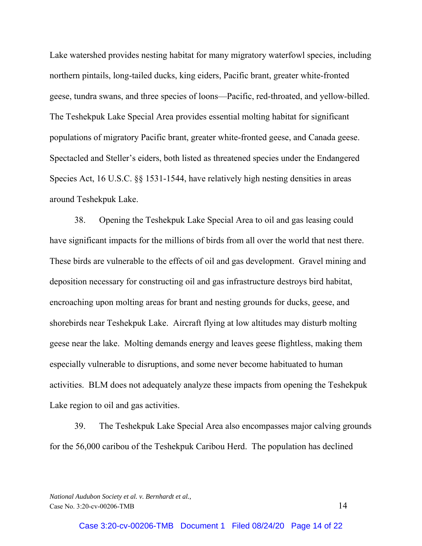Lake watershed provides nesting habitat for many migratory waterfowl species, including northern pintails, long-tailed ducks, king eiders, Pacific brant, greater white-fronted geese, tundra swans, and three species of loons—Pacific, red-throated, and yellow-billed. The Teshekpuk Lake Special Area provides essential molting habitat for significant populations of migratory Pacific brant, greater white-fronted geese, and Canada geese. Spectacled and Steller's eiders, both listed as threatened species under the Endangered Species Act, 16 U.S.C. §§ 1531-1544, have relatively high nesting densities in areas around Teshekpuk Lake.

38. Opening the Teshekpuk Lake Special Area to oil and gas leasing could have significant impacts for the millions of birds from all over the world that nest there. These birds are vulnerable to the effects of oil and gas development. Gravel mining and deposition necessary for constructing oil and gas infrastructure destroys bird habitat, encroaching upon molting areas for brant and nesting grounds for ducks, geese, and shorebirds near Teshekpuk Lake. Aircraft flying at low altitudes may disturb molting geese near the lake. Molting demands energy and leaves geese flightless, making them especially vulnerable to disruptions, and some never become habituated to human activities. BLM does not adequately analyze these impacts from opening the Teshekpuk Lake region to oil and gas activities.

39. The Teshekpuk Lake Special Area also encompasses major calving grounds for the 56,000 caribou of the Teshekpuk Caribou Herd. The population has declined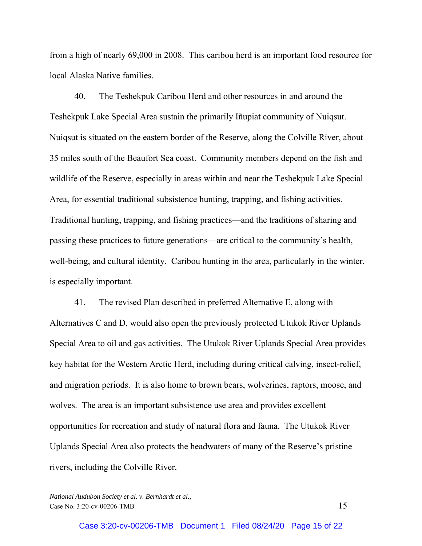from a high of nearly 69,000 in 2008. This caribou herd is an important food resource for local Alaska Native families.

40. The Teshekpuk Caribou Herd and other resources in and around the Teshekpuk Lake Special Area sustain the primarily Iñupiat community of Nuiqsut. Nuiqsut is situated on the eastern border of the Reserve, along the Colville River, about 35 miles south of the Beaufort Sea coast. Community members depend on the fish and wildlife of the Reserve, especially in areas within and near the Teshekpuk Lake Special Area, for essential traditional subsistence hunting, trapping, and fishing activities. Traditional hunting, trapping, and fishing practices—and the traditions of sharing and passing these practices to future generations—are critical to the community's health, well-being, and cultural identity. Caribou hunting in the area, particularly in the winter, is especially important.

41. The revised Plan described in preferred Alternative E, along with Alternatives C and D, would also open the previously protected Utukok River Uplands Special Area to oil and gas activities. The Utukok River Uplands Special Area provides key habitat for the Western Arctic Herd, including during critical calving, insect-relief, and migration periods. It is also home to brown bears, wolverines, raptors, moose, and wolves. The area is an important subsistence use area and provides excellent opportunities for recreation and study of natural flora and fauna. The Utukok River Uplands Special Area also protects the headwaters of many of the Reserve's pristine rivers, including the Colville River.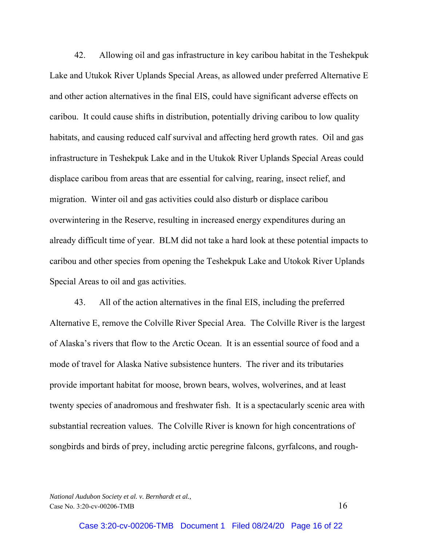42. Allowing oil and gas infrastructure in key caribou habitat in the Teshekpuk Lake and Utukok River Uplands Special Areas, as allowed under preferred Alternative E and other action alternatives in the final EIS, could have significant adverse effects on caribou. It could cause shifts in distribution, potentially driving caribou to low quality habitats, and causing reduced calf survival and affecting herd growth rates. Oil and gas infrastructure in Teshekpuk Lake and in the Utukok River Uplands Special Areas could displace caribou from areas that are essential for calving, rearing, insect relief, and migration. Winter oil and gas activities could also disturb or displace caribou overwintering in the Reserve, resulting in increased energy expenditures during an already difficult time of year. BLM did not take a hard look at these potential impacts to caribou and other species from opening the Teshekpuk Lake and Utokok River Uplands Special Areas to oil and gas activities.

43. All of the action alternatives in the final EIS, including the preferred Alternative E, remove the Colville River Special Area. The Colville River is the largest of Alaska's rivers that flow to the Arctic Ocean. It is an essential source of food and a mode of travel for Alaska Native subsistence hunters. The river and its tributaries provide important habitat for moose, brown bears, wolves, wolverines, and at least twenty species of anadromous and freshwater fish. It is a spectacularly scenic area with substantial recreation values. The Colville River is known for high concentrations of songbirds and birds of prey, including arctic peregrine falcons, gyrfalcons, and rough-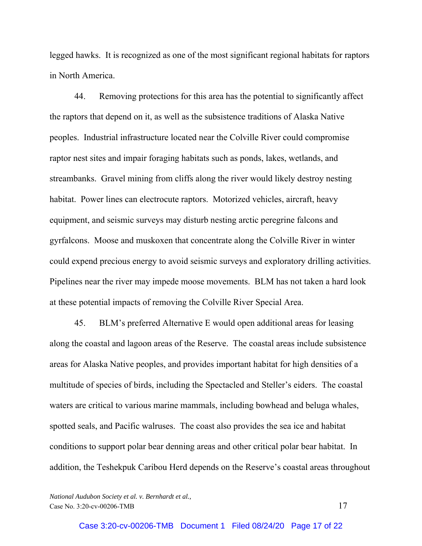legged hawks. It is recognized as one of the most significant regional habitats for raptors in North America.

44. Removing protections for this area has the potential to significantly affect the raptors that depend on it, as well as the subsistence traditions of Alaska Native peoples. Industrial infrastructure located near the Colville River could compromise raptor nest sites and impair foraging habitats such as ponds, lakes, wetlands, and streambanks. Gravel mining from cliffs along the river would likely destroy nesting habitat. Power lines can electrocute raptors. Motorized vehicles, aircraft, heavy equipment, and seismic surveys may disturb nesting arctic peregrine falcons and gyrfalcons. Moose and muskoxen that concentrate along the Colville River in winter could expend precious energy to avoid seismic surveys and exploratory drilling activities. Pipelines near the river may impede moose movements. BLM has not taken a hard look at these potential impacts of removing the Colville River Special Area.

45. BLM's preferred Alternative E would open additional areas for leasing along the coastal and lagoon areas of the Reserve. The coastal areas include subsistence areas for Alaska Native peoples, and provides important habitat for high densities of a multitude of species of birds, including the Spectacled and Steller's eiders. The coastal waters are critical to various marine mammals, including bowhead and beluga whales, spotted seals, and Pacific walruses. The coast also provides the sea ice and habitat conditions to support polar bear denning areas and other critical polar bear habitat. In addition, the Teshekpuk Caribou Herd depends on the Reserve's coastal areas throughout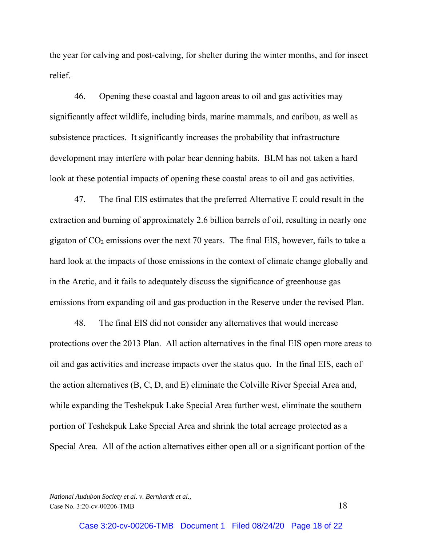the year for calving and post-calving, for shelter during the winter months, and for insect relief.

46. Opening these coastal and lagoon areas to oil and gas activities may significantly affect wildlife, including birds, marine mammals, and caribou, as well as subsistence practices. It significantly increases the probability that infrastructure development may interfere with polar bear denning habits. BLM has not taken a hard look at these potential impacts of opening these coastal areas to oil and gas activities.

47. The final EIS estimates that the preferred Alternative E could result in the extraction and burning of approximately 2.6 billion barrels of oil, resulting in nearly one gigaton of  $CO<sub>2</sub>$  emissions over the next 70 years. The final EIS, however, fails to take a hard look at the impacts of those emissions in the context of climate change globally and in the Arctic, and it fails to adequately discuss the significance of greenhouse gas emissions from expanding oil and gas production in the Reserve under the revised Plan.

48. The final EIS did not consider any alternatives that would increase protections over the 2013 Plan. All action alternatives in the final EIS open more areas to oil and gas activities and increase impacts over the status quo. In the final EIS, each of the action alternatives (B, C, D, and E) eliminate the Colville River Special Area and, while expanding the Teshekpuk Lake Special Area further west, eliminate the southern portion of Teshekpuk Lake Special Area and shrink the total acreage protected as a Special Area. All of the action alternatives either open all or a significant portion of the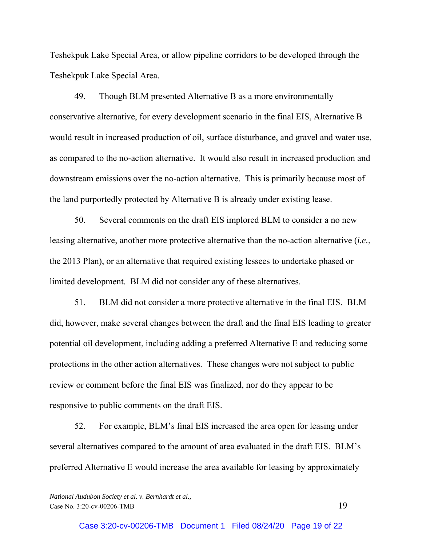Teshekpuk Lake Special Area, or allow pipeline corridors to be developed through the Teshekpuk Lake Special Area.

49. Though BLM presented Alternative B as a more environmentally conservative alternative, for every development scenario in the final EIS, Alternative B would result in increased production of oil, surface disturbance, and gravel and water use, as compared to the no-action alternative. It would also result in increased production and downstream emissions over the no-action alternative. This is primarily because most of the land purportedly protected by Alternative B is already under existing lease.

50. Several comments on the draft EIS implored BLM to consider a no new leasing alternative, another more protective alternative than the no-action alternative (*i.e.*, the 2013 Plan), or an alternative that required existing lessees to undertake phased or limited development. BLM did not consider any of these alternatives.

51. BLM did not consider a more protective alternative in the final EIS. BLM did, however, make several changes between the draft and the final EIS leading to greater potential oil development, including adding a preferred Alternative E and reducing some protections in the other action alternatives. These changes were not subject to public review or comment before the final EIS was finalized, nor do they appear to be responsive to public comments on the draft EIS.

52. For example, BLM's final EIS increased the area open for leasing under several alternatives compared to the amount of area evaluated in the draft EIS. BLM's preferred Alternative E would increase the area available for leasing by approximately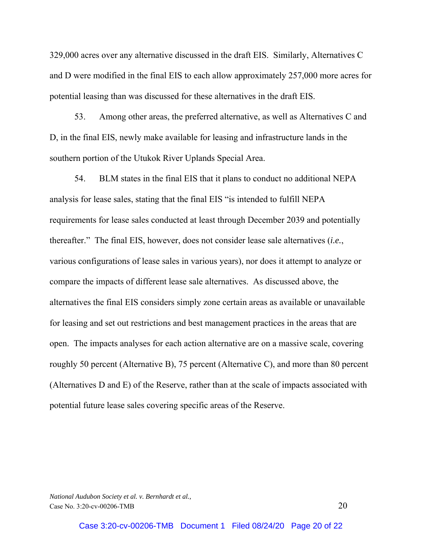329,000 acres over any alternative discussed in the draft EIS. Similarly, Alternatives C and D were modified in the final EIS to each allow approximately 257,000 more acres for potential leasing than was discussed for these alternatives in the draft EIS.

53. Among other areas, the preferred alternative, as well as Alternatives C and D, in the final EIS, newly make available for leasing and infrastructure lands in the southern portion of the Utukok River Uplands Special Area.

54. BLM states in the final EIS that it plans to conduct no additional NEPA analysis for lease sales, stating that the final EIS "is intended to fulfill NEPA requirements for lease sales conducted at least through December 2039 and potentially thereafter." The final EIS, however, does not consider lease sale alternatives (*i.e.*, various configurations of lease sales in various years), nor does it attempt to analyze or compare the impacts of different lease sale alternatives. As discussed above, the alternatives the final EIS considers simply zone certain areas as available or unavailable for leasing and set out restrictions and best management practices in the areas that are open. The impacts analyses for each action alternative are on a massive scale, covering roughly 50 percent (Alternative B), 75 percent (Alternative C), and more than 80 percent (Alternatives D and E) of the Reserve, rather than at the scale of impacts associated with potential future lease sales covering specific areas of the Reserve.

*National Audubon Society et al. v. Bernhardt et al.,*  Case No. 3:20-cv-00206-TMB 20

Case 3:20-cv-00206-TMB Document 1 Filed 08/24/20 Page 20 of 22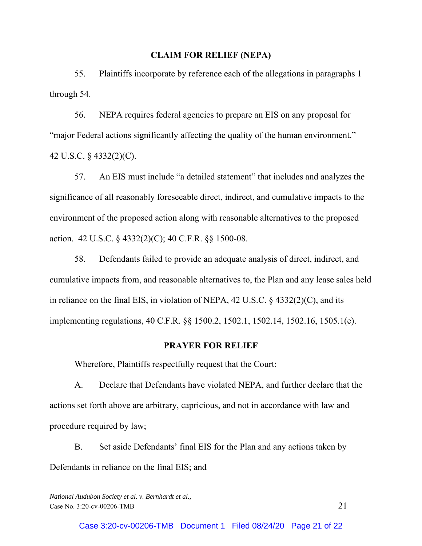#### **CLAIM FOR RELIEF (NEPA)**

55. Plaintiffs incorporate by reference each of the allegations in paragraphs 1 through 54.

56. NEPA requires federal agencies to prepare an EIS on any proposal for "major Federal actions significantly affecting the quality of the human environment." 42 U.S.C. § 4332(2)(C).

57. An EIS must include "a detailed statement" that includes and analyzes the significance of all reasonably foreseeable direct, indirect, and cumulative impacts to the environment of the proposed action along with reasonable alternatives to the proposed action. 42 U.S.C. § 4332(2)(C); 40 C.F.R. §§ 1500-08.

58. Defendants failed to provide an adequate analysis of direct, indirect, and cumulative impacts from, and reasonable alternatives to, the Plan and any lease sales held in reliance on the final EIS, in violation of NEPA, 42 U.S.C. § 4332(2)(C), and its implementing regulations, 40 C.F.R. §§ 1500.2, 1502.1, 1502.14, 1502.16, 1505.1(e).

## **PRAYER FOR RELIEF**

Wherefore, Plaintiffs respectfully request that the Court:

A. Declare that Defendants have violated NEPA, and further declare that the actions set forth above are arbitrary, capricious, and not in accordance with law and procedure required by law;

B. Set aside Defendants' final EIS for the Plan and any actions taken by Defendants in reliance on the final EIS; and